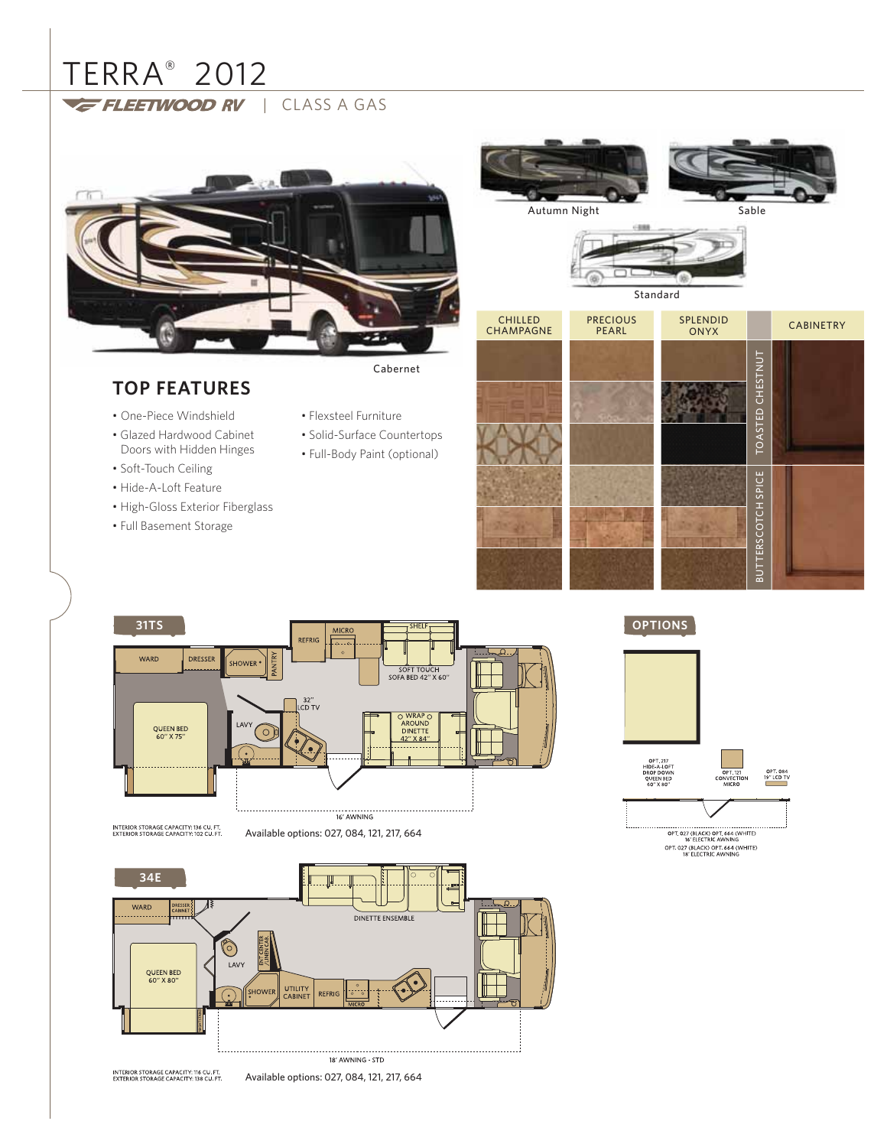# TERRA® 2012

FLEETWOOD RV | CLASS A GAS



# **TOP FEATURES**

- 
- One-Piece Windshield
- Glazed Hardwood Cabinet Doors with Hidden Hinges
- Soft-Touch Ceiling
- Hide-A-Loft Feature
- High-Gloss Exterior Fiberglass
- Full Basement Storage
- Flexsteel Furniture
- 
- Solid-Surface Countertops • Full-Body Paint (optional)
- 



Sable

Autumn Night



INTERIOR STORAGE CAPACITY: 136 CU. FT.<br>EXTERIOR STORAGE CAPACITY: 102 CU. FT.

Available options: 027, 084, 121, 217, 664



INTERIOR STORAGE CAPACITY: 116 CU. FT.<br>EXTERIOR STORAGE CAPACITY: 138 CU. FT. Available options: 027, 084, 121, 217, 664 **OPTIONS**



OPT. 027 (BLACK) OPT. 664 (WHITE)<br>18' ELECTRIC AWNING